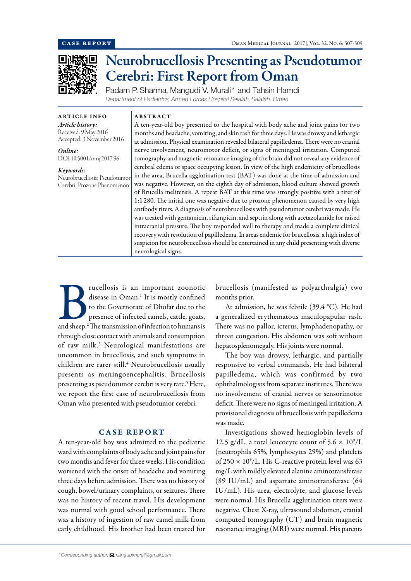

# Neurobrucellosis Presenting as Pseudotumor Cerebri: First Report from Oman

Padam P. Sharma, Mangudi V. Murali\* and Tahsin Hamdi *Department of Pediatrics, Armed Forces Hospital Salalah, Salalah, Oman*

ABSTRACT

ARTICLE INFO *Article history:* Received: 9 May 2016 Accepted: 3 November 2016

*Online:* DOI 10.5001/omj.2017.96

*Keywords:*  Neurobrucellosis; Pseudotumor Cerebri; Prozone Phenomenon. A ten-year-old boy presented to the hospital with body ache and joint pains for two months and headache, vomiting, and skin rash for three days. He was drowsy and lethargic at admission. Physical examination revealed bilateral papilledema. There were no cranial nerve involvement, neuromotor deficit, or signs of meningeal irritation. Computed tomography and magnetic resonance imaging of the brain did not reveal any evidence of cerebral edema or space occupying lesion. In view of the high endemicity of brucellosis in the area, Brucella agglutination test (BAT) was done at the time of admission and was negative. However, on the eighth day of admission, blood culture showed growth of Brucella melitensis. A repeat BAT at this time was strongly positive with a titer of 1:1 280. The initial one was negative due to prozone phenomenon caused by very high antibody titers. A diagnosis of neurobrucellosis with pseudotumor cerebri was made. He was treated with gentamicin, rifampicin, and septrin along with acetazolamide for raised intracranial pressure. The boy responded well to therapy and made a complete clinical recovery with resolution of papilledema. In areas endemic for brucellosis, a high index of suspicion for neurobrucellosis should be entertained in any child presenting with diverse neurological signs.

Prucellosis is an important zoonotic<br>
disease in Oman.<sup>1</sup> It is mostly confined<br>
to the Governorate of Dhofar due to the<br>
presence of infected camels, cattle, goats,<br>
and sheep.<sup>2</sup> The transmission of infection to humans i disease in Oman.<sup>1</sup> It is mostly confined to the Governorate of Dhofar due to the presence of infected camels, cattle, goats, through close contact with animals and consumption of raw milk.3 Neurological manifestations are uncommon in brucellosis, and such symptoms in children are rarer still.<sup>4</sup> Neurobrucellosis usually presents as meningoencephalitis. Brucellosis presenting as pseudotumor cerebri is very rare.<sup>5</sup> Here, we report the first case of neurobrucellosis from Oman who presented with pseudotumor cerebri.

## CASE REPORT

A ten-year-old boy was admitted to the pediatric ward with complaints of body ache and joint pains for two months and fever for three weeks. His condition worsened with the onset of headache and vomiting three days before admission. There was no history of cough, bowel/urinary complaints, or seizures. There was no history of recent travel. His development was normal with good school performance. There was a history of ingestion of raw camel milk from early childhood. His brother had been treated for brucellosis (manifested as polyarthralgia) two months prior.

At admission, he was febrile (39.4 °C). He had a generalized erythematous maculopapular rash. There was no pallor, icterus, lymphadenopathy, or throat congestion. His abdomen was soft without hepatosplenomegaly. His joints were normal.

The boy was drowsy, lethargic, and partially responsive to verbal commands. He had bilateral papilledema, which was confirmed by two ophthalmologists from separate institutes. There was no involvement of cranial nerves or sensorimotor deficit. There were no signs of meningeal irritation. A provisional diagnosis of brucellosis with papilledema was made.

Investigations showed hemoglobin levels of 12.5 g/dL, a total leucocyte count of  $5.6 \times 10^9$ /L (neutrophils 65%, lymphocytes 29%) and platelets of  $250 \times 10^9$ /L. His C-reactive protein level was 63 mg/L with mildly elevated alanine aminotransferase (89 IU/mL) and aspartate aminotransferase (64 IU/mL). His urea, electrolyte, and glucose levels were normal. His Brucella agglutination titers were negative. Chest X-ray, ultrasound abdomen, cranial computed tomography (CT) and brain magnetic resonance imaging (MRI) were normal. His parents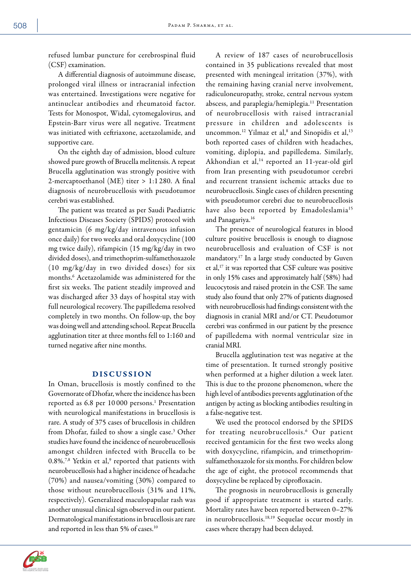refused lumbar puncture for cerebrospinal fluid (CSF) examination.

A differential diagnosis of autoimmune disease, prolonged viral illness or intracranial infection was entertained. Investigations were negative for antinuclear antibodies and rheumatoid factor. Tests for Monospot, Widal, cytomegalovirus, and Epstein-Barr virus were all negative. Treatment was initiated with ceftriaxone, acetazolamide, and supportive care.

On the eighth day of admission, blood culture showed pure growth of Brucella melitensis. A repeat Brucella agglutination was strongly positive with 2-mercaptoethanol (ME) titer > 1:1 280. A final diagnosis of neurobrucellosis with pseudotumor cerebri was established.

The patient was treated as per Saudi Paediatric Infectious Diseases Society (SPIDS) protocol with gentamicin (6 mg/kg/day intravenous infusion once daily) for two weeks and oral doxycycline (100 mg twice daily), rifampicin (15 mg/kg/day in two divided doses), and trimethoprim-sulfamethoxazole (10 mg/kg/day in two divided doses) for six months.6 Acetazolamide was administered for the first six weeks. The patient steadily improved and was discharged after 33 days of hospital stay with full neurological recovery. The papilledema resolved completely in two months. On follow-up, the boy was doing well and attending school. Repeat Brucella agglutination titer at three months fell to 1:160 and turned negative after nine months.

# DISCUSSION

In Oman, brucellosis is mostly confined to the Governorate of Dhofar, where the incidence has been reported as 6.8 per 10000 persons.<sup>1</sup> Presentation with neurological manifestations in brucellosis is rare. A study of 375 cases of brucellosis in children from Dhofar, failed to show a single case.<sup>3</sup> Other studies have found the incidence of neurobrucellosis amongst children infected with Brucella to be  $0.8\%$ .<sup>7,8</sup> Yetkin et al,<sup>9</sup> reported that patients with neurobrucellosis had a higher incidence of headache (70%) and nausea/vomiting (30%) compared to those without neurobrucellosis (31% and 11%, respectively). Generalized maculopapular rash was another unusual clinical sign observed in our patient. Dermatological manifestations in brucellosis are rare and reported in less than 5% of cases.10

A review of 187 cases of neurobrucellosis contained in 35 publications revealed that most presented with meningeal irritation (37%), with the remaining having cranial nerve involvement, radiculoneuropathy, stroke, central nervous system abscess, and paraplegia/hemiplegia.11 Presentation of neurobrucellosis with raised intracranial pressure in children and adolescents is uncommon.<sup>12</sup> Yilmaz et al,<sup>8</sup> and Sinopidis et al,<sup>13</sup> both reported cases of children with headaches, vomiting, diplopia, and papilledema. Similarly, Akhondian et al,<sup>14</sup> reported an 11-year-old girl from Iran presenting with pseudotumor cerebri and recurrent transient ischemic attacks due to neurobrucellosis. Single cases of children presenting with pseudotumor cerebri due to neurobrucellosis have also been reported by Emadoleslamia<sup>15</sup> and Panagariya.16

The presence of neurological features in blood culture positive brucellosis is enough to diagnose neurobrucellosis and evaluation of CSF is not mandatory.17 In a large study conducted by Guven et al,<sup>17</sup> it was reported that CSF culture was positive in only 15% cases and approximately half (58%) had leucocytosis and raised protein in the CSF. The same study also found that only 27% of patients diagnosed with neurobrucellosis had findings consistent with the diagnosis in cranial MRI and/or CT. Pseudotumor cerebri was confirmed in our patient by the presence of papilledema with normal ventricular size in cranial MRI.

Brucella agglutination test was negative at the time of presentation. It turned strongly positive when performed at a higher dilution a week later. This is due to the prozone phenomenon, where the high level of antibodies prevents agglutination of the antigen by acting as blocking antibodies resulting in a false-negative test.

We used the protocol endorsed by the SPIDS for treating neurobrucellosis.<sup>6</sup> Our patient received gentamicin for the first two weeks along with doxycycline, rifampicin, and trimethoprimsulfamethoxazole for six months. For children below the age of eight, the protocol recommends that doxycycline be replaced by ciprofloxacin.

The prognosis in neurobrucellosis is generally good if appropriate treatment is started early. Mortality rates have been reported between 0–27% in neurobrucellosis.18,19 Sequelae occur mostly in cases where therapy had been delayed.